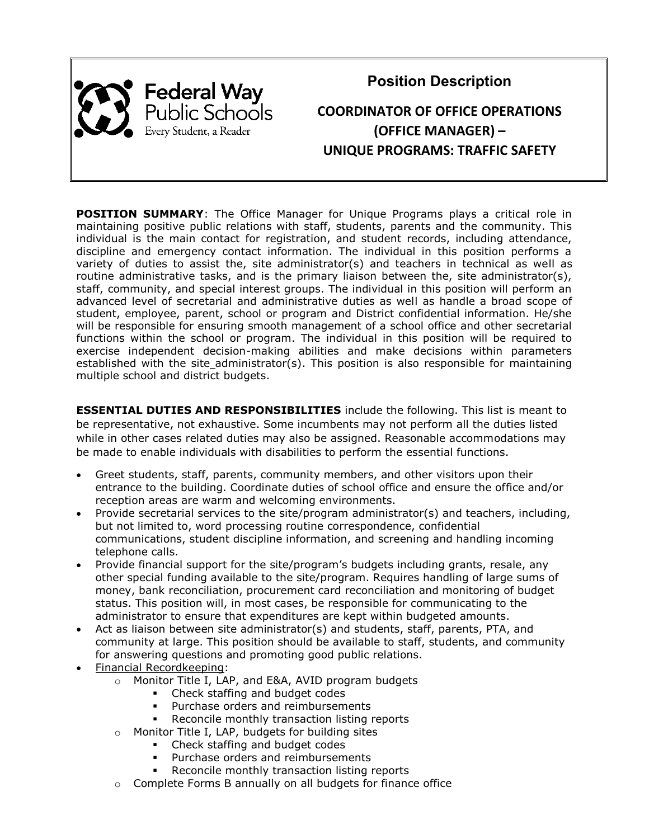

**Position Description COORDINATOR OF OFFICE OPERATIONS (OFFICE MANAGER) – UNIQUE PROGRAMS: TRAFFIC SAFETY**

**POSITION SUMMARY:** The Office Manager for Unique Programs plays a critical role in maintaining positive public relations with staff, students, parents and the community. This individual is the main contact for registration, and student records, including attendance, discipline and emergency contact information. The individual in this position performs a variety of duties to assist the, site administrator(s) and teachers in technical as well as routine administrative tasks, and is the primary liaison between the, site administrator(s), staff, community, and special interest groups. The individual in this position will perform an advanced level of secretarial and administrative duties as well as handle a broad scope of student, employee, parent, school or program and District confidential information. He/she will be responsible for ensuring smooth management of a school office and other secretarial functions within the school or program. The individual in this position will be required to exercise independent decision-making abilities and make decisions within parameters established with the site administrator(s). This position is also responsible for maintaining multiple school and district budgets.

**ESSENTIAL DUTIES AND RESPONSIBILITIES** include the following. This list is meant to be representative, not exhaustive. Some incumbents may not perform all the duties listed while in other cases related duties may also be assigned. Reasonable accommodations may be made to enable individuals with disabilities to perform the essential functions.

- Greet students, staff, parents, community members, and other visitors upon their entrance to the building. Coordinate duties of school office and ensure the office and/or reception areas are warm and welcoming environments.
- Provide secretarial services to the site/program administrator(s) and teachers, including, but not limited to, word processing routine correspondence, confidential communications, student discipline information, and screening and handling incoming telephone calls.
- Provide financial support for the site/program's budgets including grants, resale, any other special funding available to the site/program. Requires handling of large sums of money, bank reconciliation, procurement card reconciliation and monitoring of budget status. This position will, in most cases, be responsible for communicating to the administrator to ensure that expenditures are kept within budgeted amounts.
- Act as liaison between site administrator(s) and students, staff, parents, PTA, and community at large. This position should be available to staff, students, and community for answering questions and promoting good public relations.
- Financial Recordkeeping:
	- o Monitor Title I, LAP, and E&A, AVID program budgets
		- Check staffing and budget codes
		- Purchase orders and reimbursements
		- Reconcile monthly transaction listing reports
	- o Monitor Title I, LAP, budgets for building sites
		- Check staffing and budget codes
			- Purchase orders and reimbursements
		- Reconcile monthly transaction listing reports
	- o Complete Forms B annually on all budgets for finance office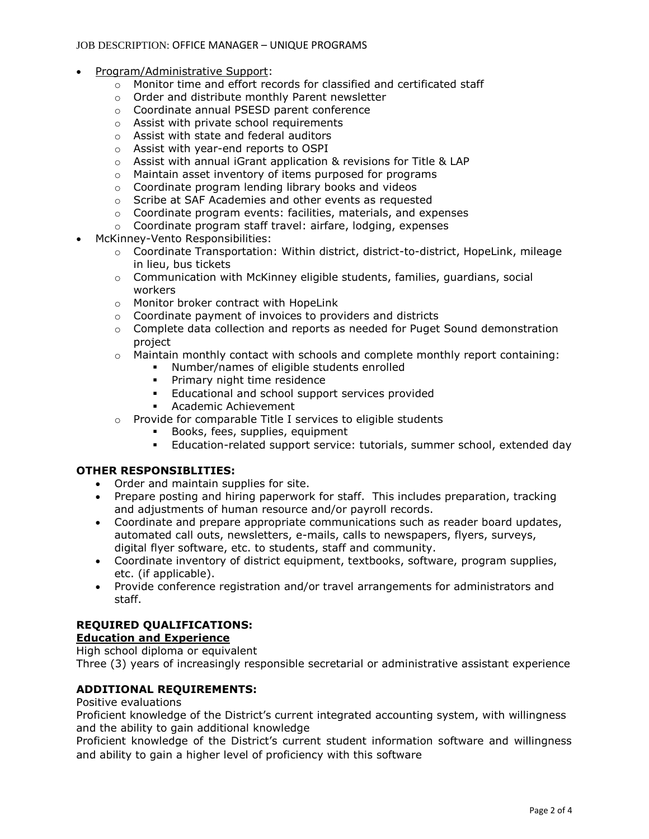#### JOB DESCRIPTION: OFFICE MANAGER – UNIQUE PROGRAMS

- Program/Administrative Support:
	- $\circ$  Monitor time and effort records for classified and certificated staff
	- o Order and distribute monthly Parent newsletter
	- o Coordinate annual PSESD parent conference
	- o Assist with private school requirements
	- o Assist with state and federal auditors
	- o Assist with year-end reports to OSPI
	- o Assist with annual iGrant application & revisions for Title & LAP
	- o Maintain asset inventory of items purposed for programs
	- o Coordinate program lending library books and videos
	- o Scribe at SAF Academies and other events as requested
	- o Coordinate program events: facilities, materials, and expenses
	- o Coordinate program staff travel: airfare, lodging, expenses
- McKinney-Vento Responsibilities:
	- $\circ$  Coordinate Transportation: Within district, district-to-district, HopeLink, mileage in lieu, bus tickets
	- $\circ$  Communication with McKinney eligible students, families, quardians, social workers
	- o Monitor broker contract with HopeLink
	- o Coordinate payment of invoices to providers and districts
	- $\circ$  Complete data collection and reports as needed for Puget Sound demonstration project
	- $\circ$  Maintain monthly contact with schools and complete monthly report containing:
		- Number/names of eligible students enrolled
		- **•** Primary night time residence
		- **Educational and school support services provided**
		- Academic Achievement
	- o Provide for comparable Title I services to eligible students
		- Books, fees, supplies, equipment
		- Education-related support service: tutorials, summer school, extended day

### **OTHER RESPONSIBLITIES:**

- Order and maintain supplies for site.
- Prepare posting and hiring paperwork for staff. This includes preparation, tracking and adjustments of human resource and/or payroll records.
- Coordinate and prepare appropriate communications such as reader board updates, automated call outs, newsletters, e-mails, calls to newspapers, flyers, surveys, digital flyer software, etc. to students, staff and community.
- Coordinate inventory of district equipment, textbooks, software, program supplies, etc. (if applicable).
- Provide conference registration and/or travel arrangements for administrators and staff.

# **REQUIRED QUALIFICATIONS:**

### **Education and Experience**

High school diploma or equivalent Three (3) years of increasingly responsible secretarial or administrative assistant experience

## **ADDITIONAL REQUIREMENTS:**

Positive evaluations

Proficient knowledge of the District's current integrated accounting system, with willingness and the ability to gain additional knowledge

Proficient knowledge of the District's current student information software and willingness and ability to gain a higher level of proficiency with this software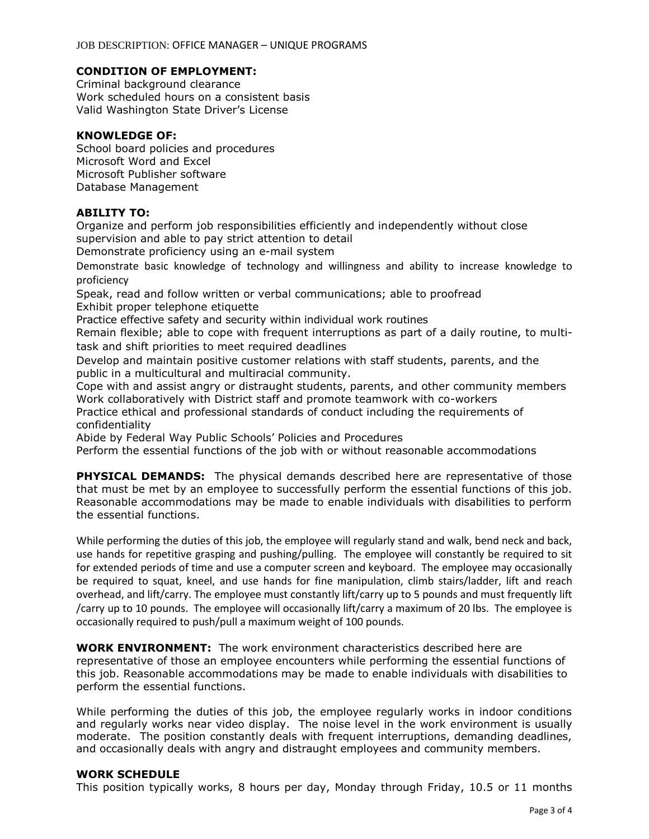### **CONDITION OF EMPLOYMENT:**

Criminal background clearance Work scheduled hours on a consistent basis Valid Washington State Driver's License

#### **KNOWLEDGE OF:**

School board policies and procedures Microsoft Word and Excel Microsoft Publisher software Database Management

#### **ABILITY TO:**

Organize and perform job responsibilities efficiently and independently without close supervision and able to pay strict attention to detail

Demonstrate proficiency using an e-mail system

Demonstrate basic knowledge of technology and willingness and ability to increase knowledge to proficiency

Speak, read and follow written or verbal communications; able to proofread Exhibit proper telephone etiquette

Practice effective safety and security within individual work routines

Remain flexible; able to cope with frequent interruptions as part of a daily routine, to multitask and shift priorities to meet required deadlines

Develop and maintain positive customer relations with staff students, parents, and the public in a multicultural and multiracial community.

Cope with and assist angry or distraught students, parents, and other community members Work collaboratively with District staff and promote teamwork with co-workers

Practice ethical and professional standards of conduct including the requirements of confidentiality

Abide by Federal Way Public Schools' Policies and Procedures

Perform the essential functions of the job with or without reasonable accommodations

**PHYSICAL DEMANDS:** The physical demands described here are representative of those that must be met by an employee to successfully perform the essential functions of this job. Reasonable accommodations may be made to enable individuals with disabilities to perform the essential functions.

While performing the duties of this job, the employee will regularly stand and walk, bend neck and back, use hands for repetitive grasping and pushing/pulling. The employee will constantly be required to sit for extended periods of time and use a computer screen and keyboard. The employee may occasionally be required to squat, kneel, and use hands for fine manipulation, climb stairs/ladder, lift and reach overhead, and lift/carry. The employee must constantly lift/carry up to 5 pounds and must frequently lift /carry up to 10 pounds. The employee will occasionally lift/carry a maximum of 20 lbs. The employee is occasionally required to push/pull a maximum weight of 100 pounds.

**WORK ENVIRONMENT:** The work environment characteristics described here are representative of those an employee encounters while performing the essential functions of this job. Reasonable accommodations may be made to enable individuals with disabilities to perform the essential functions.

While performing the duties of this job, the employee regularly works in indoor conditions and regularly works near video display. The noise level in the work environment is usually moderate. The position constantly deals with frequent interruptions, demanding deadlines, and occasionally deals with angry and distraught employees and community members.

#### **WORK SCHEDULE**

This position typically works, 8 hours per day, Monday through Friday, 10.5 or 11 months